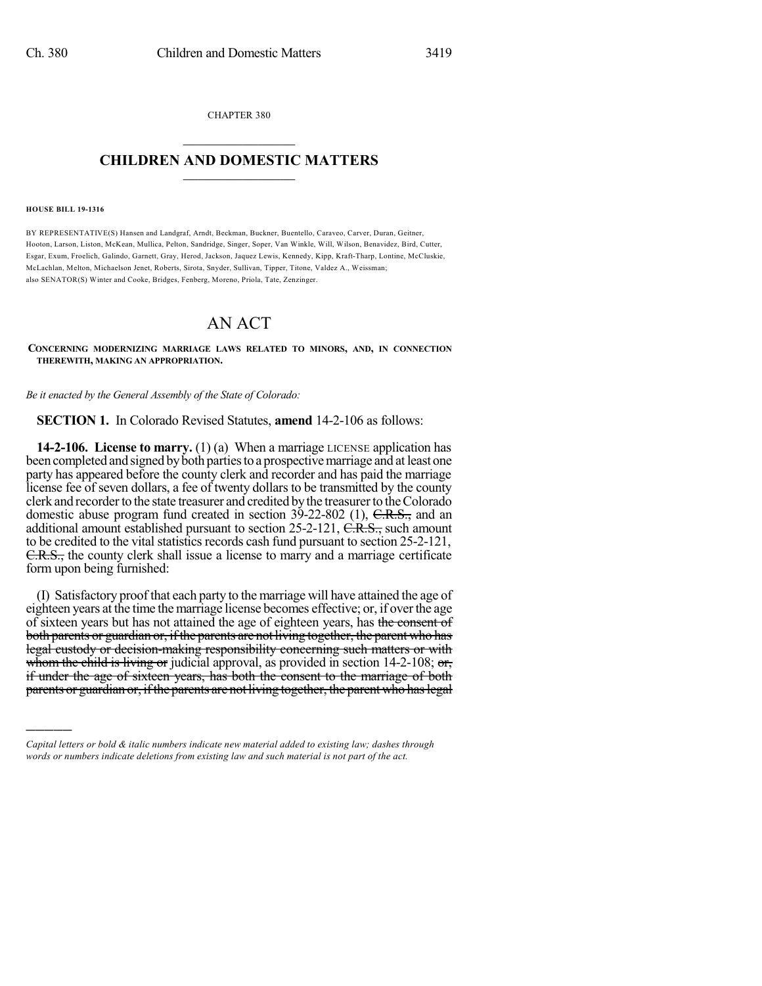CHAPTER 380  $\overline{\phantom{a}}$  . The set of the set of the set of the set of the set of the set of the set of the set of the set of the set of the set of the set of the set of the set of the set of the set of the set of the set of the set o

## **CHILDREN AND DOMESTIC MATTERS**  $\_$

## **HOUSE BILL 19-1316**

)))))

BY REPRESENTATIVE(S) Hansen and Landgraf, Arndt, Beckman, Buckner, Buentello, Caraveo, Carver, Duran, Geitner, Hooton, Larson, Liston, McKean, Mullica, Pelton, Sandridge, Singer, Soper, Van Winkle, Will, Wilson, Benavidez, Bird, Cutter, Esgar, Exum, Froelich, Galindo, Garnett, Gray, Herod, Jackson, Jaquez Lewis, Kennedy, Kipp, Kraft-Tharp, Lontine, McCluskie, McLachlan, Melton, Michaelson Jenet, Roberts, Sirota, Snyder, Sullivan, Tipper, Titone, Valdez A., Weissman; also SENATOR(S) Winter and Cooke, Bridges, Fenberg, Moreno, Priola, Tate, Zenzinger.

## AN ACT

**CONCERNING MODERNIZING MARRIAGE LAWS RELATED TO MINORS, AND, IN CONNECTION THEREWITH, MAKING AN APPROPRIATION.**

*Be it enacted by the General Assembly of the State of Colorado:*

**SECTION 1.** In Colorado Revised Statutes, **amend** 14-2-106 as follows:

**14-2-106. License to marry.** (1) (a) When a marriage LICENSE application has been completed and signed by both parties to a prospective marriage and at least one party has appeared before the county clerk and recorder and has paid the marriage license fee of seven dollars, a fee of twenty dollars to be transmitted by the county clerk and recorder to the state treasurer and credited by the treasurer to the Colorado domestic abuse program fund created in section 39-22-802 (1), C.R.S., and an additional amount established pursuant to section 25-2-121, C.R.S., such amount to be credited to the vital statistics records cash fund pursuant to section 25-2-121, C.R.S., the county clerk shall issue a license to marry and a marriage certificate form upon being furnished:

(I) Satisfactory proof that each party to the marriage will have attained the age of eighteen years at the time the marriage license becomes effective; or, if over the age of sixteen years but has not attained the age of eighteen years, has the consent of both parents or guardian or, if the parents are not living together, the parent who has legal custody or decision-making responsibility concerning such matters or with whom the child is living or judicial approval, as provided in section 14-2-108; or, if under the age of sixteen years, has both the consent to the marriage of both parents or guardian or, if the parents are not living together, the parent who has legal

*Capital letters or bold & italic numbers indicate new material added to existing law; dashes through words or numbers indicate deletions from existing law and such material is not part of the act.*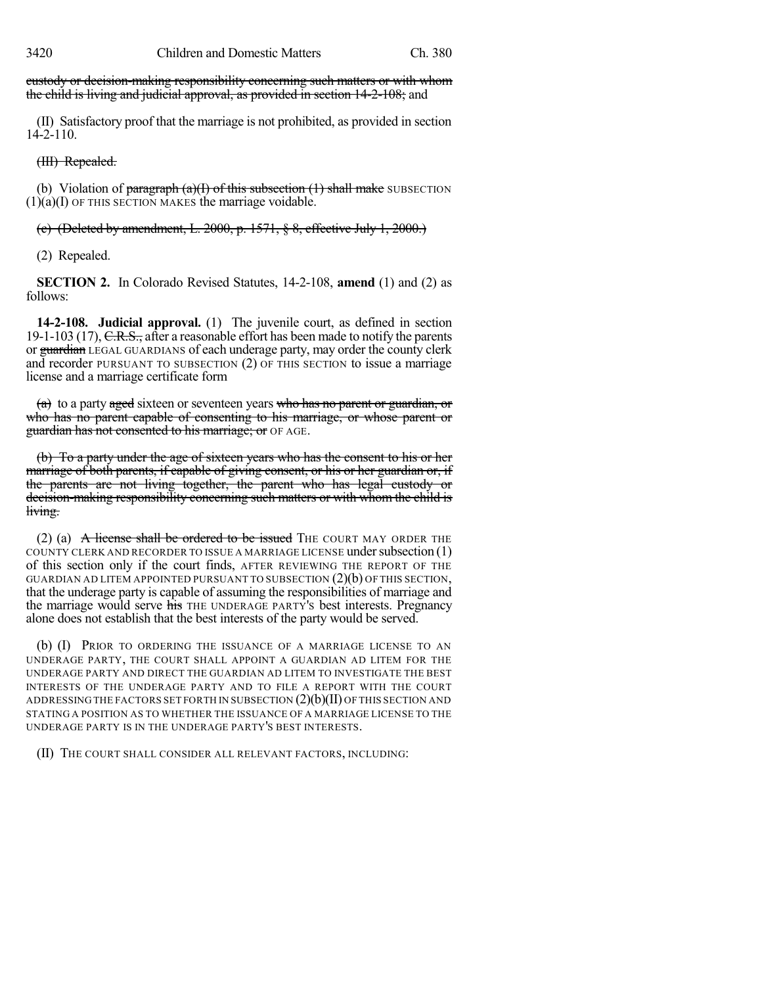custody or decision-making responsibility concerning such matters or with whom the child is living and judicial approval, as provided in section 14-2-108; and

(II) Satisfactory proof that the marriage is not prohibited, as provided in section 14-2-110.

(III) Repealed.

(b) Violation of paragraph  $(a)(I)$  of this subsection  $(1)$  shall make SUBSECTION  $(1)(a)(I)$  OF THIS SECTION MAKES the marriage voidable.

(c) (Deleted by amendment, L. 2000, p.  $1571, \frac{6}{5}$  8, effective July 1, 2000.)

(2) Repealed.

**SECTION 2.** In Colorado Revised Statutes, 14-2-108, **amend** (1) and (2) as follows:

**14-2-108. Judicial approval.** (1) The juvenile court, as defined in section 19-1-103 (17), C.R.S., after a reasonable effort has been made to notify the parents or guardian LEGAL GUARDIANS of each underage party, may order the county clerk and recorder PURSUANT TO SUBSECTION (2) OF THIS SECTION to issue a marriage license and a marriage certificate form

 $(a)$  to a party aged sixteen or seventeen years who has no parent or guardian, or who has no parent capable of consenting to his marriage, or whose parent or guardian has not consented to his marriage; or OF AGE.

(b) To a party under the age of sixteen years who has the consent to his or her marriage of both parents, if capable of giving consent, or his or her guardian or, if the parents are not living together, the parent who has legal custody or decision-making responsibility concerning such matters or with whom the child is living.

(2) (a)  $\overline{A}$  license shall be ordered to be issued THE COURT MAY ORDER THE COUNTY CLERK AND RECORDER TO ISSUE A MARRIAGE LICENSE undersubsection (1) of this section only if the court finds, AFTER REVIEWING THE REPORT OF THE GUARDIAN AD LITEM APPOINTED PURSUANT TO SUBSECTION  $(2)(b)$  OF THIS SECTION, that the underage party is capable of assuming the responsibilities of marriage and the marriage would serve his THE UNDERAGE PARTY's best interests. Pregnancy alone does not establish that the best interests of the party would be served.

(b) (I) PRIOR TO ORDERING THE ISSUANCE OF A MARRIAGE LICENSE TO AN UNDERAGE PARTY, THE COURT SHALL APPOINT A GUARDIAN AD LITEM FOR THE UNDERAGE PARTY AND DIRECT THE GUARDIAN AD LITEM TO INVESTIGATE THE BEST INTERESTS OF THE UNDERAGE PARTY AND TO FILE A REPORT WITH THE COURT ADDRESSING THE FACTORS SET FORTH IN SUBSECTION  $(2)(b)(II)$  OF THIS SECTION AND STATING A POSITION AS TO WHETHER THE ISSUANCE OF A MARRIAGE LICENSE TO THE UNDERAGE PARTY IS IN THE UNDERAGE PARTY'S BEST INTERESTS.

(II) THE COURT SHALL CONSIDER ALL RELEVANT FACTORS, INCLUDING: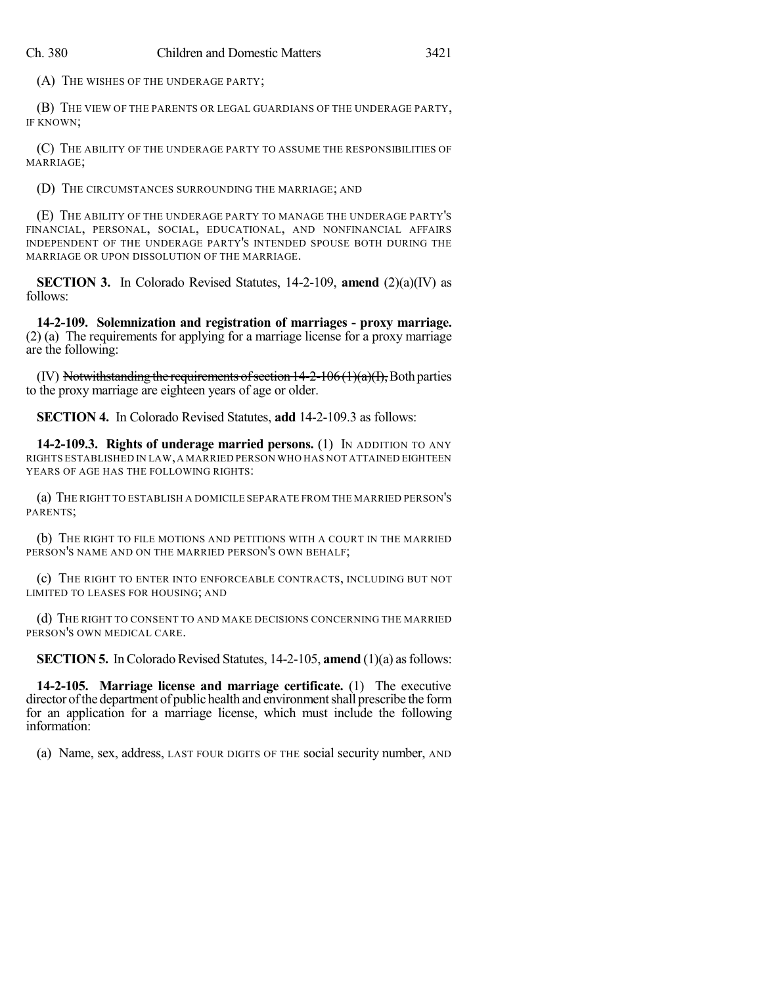(A) THE WISHES OF THE UNDERAGE PARTY;

(B) THE VIEW OF THE PARENTS OR LEGAL GUARDIANS OF THE UNDERAGE PARTY, IF KNOWN;

(C) THE ABILITY OF THE UNDERAGE PARTY TO ASSUME THE RESPONSIBILITIES OF MARRIAGE;

(D) THE CIRCUMSTANCES SURROUNDING THE MARRIAGE; AND

(E) THE ABILITY OF THE UNDERAGE PARTY TO MANAGE THE UNDERAGE PARTY'S FINANCIAL, PERSONAL, SOCIAL, EDUCATIONAL, AND NONFINANCIAL AFFAIRS INDEPENDENT OF THE UNDERAGE PARTY'S INTENDED SPOUSE BOTH DURING THE MARRIAGE OR UPON DISSOLUTION OF THE MARRIAGE.

**SECTION 3.** In Colorado Revised Statutes, 14-2-109, **amend** (2)(a)(IV) as follows:

**14-2-109. Solemnization and registration of marriages - proxy marriage.** (2) (a) The requirements for applying for a marriage license for a proxy marriage are the following:

(IV) Notwithstanding the requirements of section  $14-2-106(1)(a)(I)$ , Both parties to the proxy marriage are eighteen years of age or older.

**SECTION 4.** In Colorado Revised Statutes, **add** 14-2-109.3 as follows:

**14-2-109.3. Rights of underage married persons.** (1) IN ADDITION TO ANY RIGHTS ESTABLISHED IN LAW,A MARRIED PERSON WHO HAS NOT ATTAINED EIGHTEEN YEARS OF AGE HAS THE FOLLOWING RIGHTS:

(a) THE RIGHT TO ESTABLISH A DOMICILE SEPARATE FROM THE MARRIED PERSON'S PARENTS;

(b) THE RIGHT TO FILE MOTIONS AND PETITIONS WITH A COURT IN THE MARRIED PERSON'S NAME AND ON THE MARRIED PERSON'S OWN BEHALF;

(c) THE RIGHT TO ENTER INTO ENFORCEABLE CONTRACTS, INCLUDING BUT NOT LIMITED TO LEASES FOR HOUSING; AND

(d) THE RIGHT TO CONSENT TO AND MAKE DECISIONS CONCERNING THE MARRIED PERSON'S OWN MEDICAL CARE.

**SECTION 5.** In Colorado Revised Statutes, 14-2-105, **amend** (1)(a) as follows:

**14-2-105. Marriage license and marriage certificate.** (1) The executive director of the department of public health and environment shall prescribe the form for an application for a marriage license, which must include the following information:

(a) Name, sex, address, LAST FOUR DIGITS OF THE social security number, AND